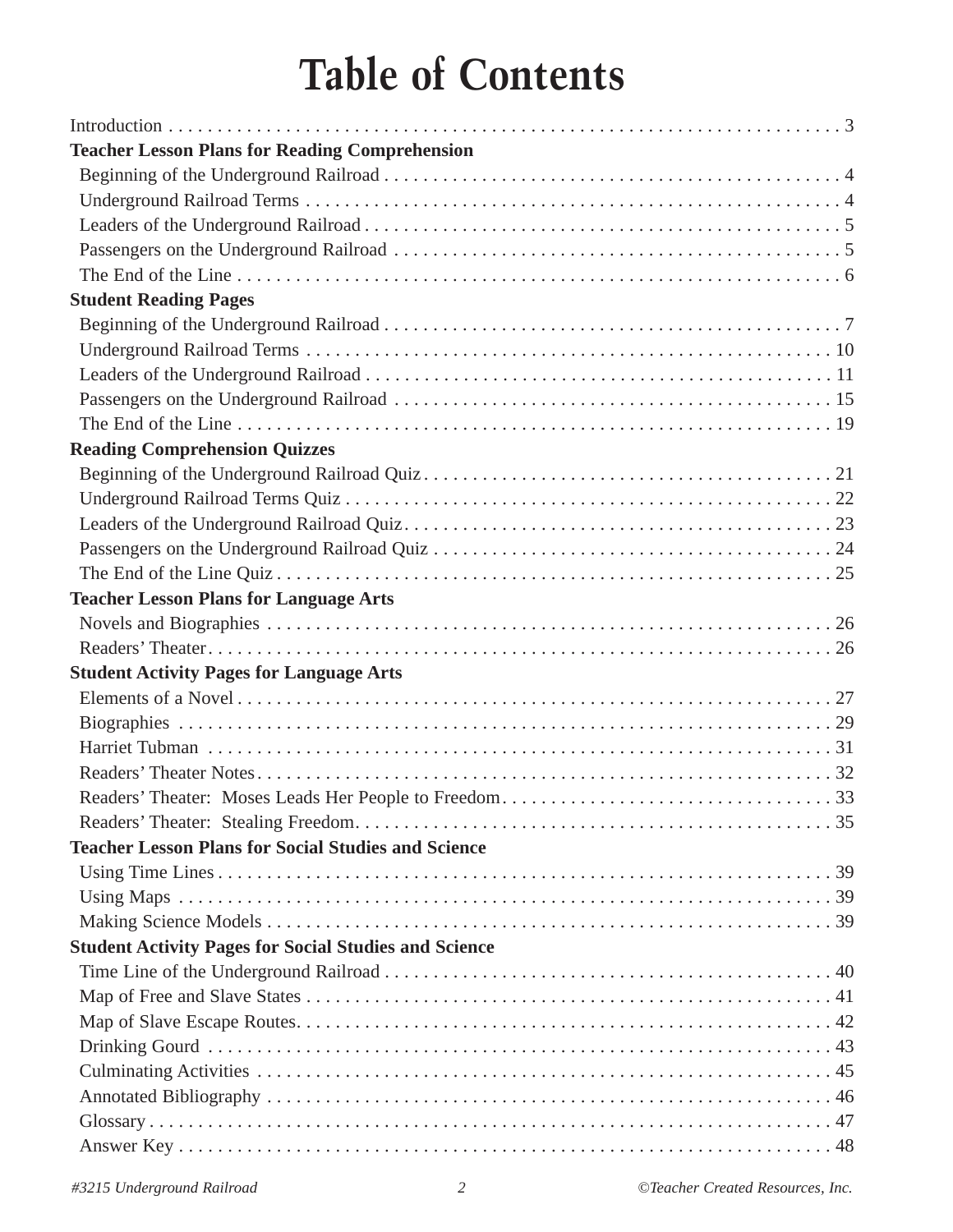## **Table of Contents**

| <b>Teacher Lesson Plans for Reading Comprehension</b>        |
|--------------------------------------------------------------|
|                                                              |
|                                                              |
|                                                              |
|                                                              |
|                                                              |
| <b>Student Reading Pages</b>                                 |
|                                                              |
|                                                              |
|                                                              |
|                                                              |
|                                                              |
| <b>Reading Comprehension Quizzes</b>                         |
|                                                              |
|                                                              |
|                                                              |
|                                                              |
|                                                              |
| <b>Teacher Lesson Plans for Language Arts</b>                |
|                                                              |
|                                                              |
| <b>Student Activity Pages for Language Arts</b>              |
|                                                              |
|                                                              |
|                                                              |
|                                                              |
|                                                              |
|                                                              |
| <b>Teacher Lesson Plans for Social Studies and Science</b>   |
|                                                              |
|                                                              |
|                                                              |
| <b>Student Activity Pages for Social Studies and Science</b> |
|                                                              |
|                                                              |
|                                                              |
|                                                              |
|                                                              |
|                                                              |
|                                                              |
|                                                              |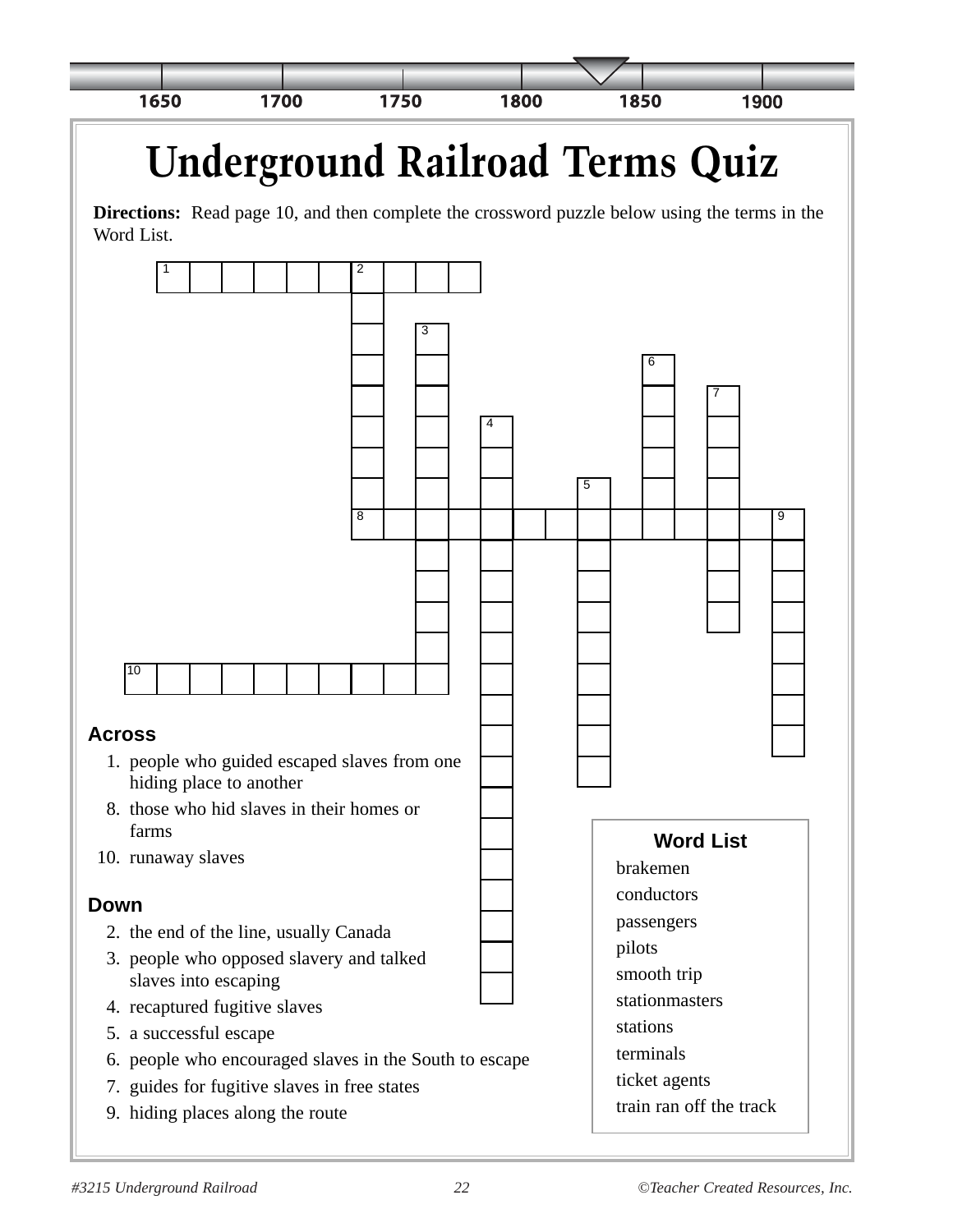